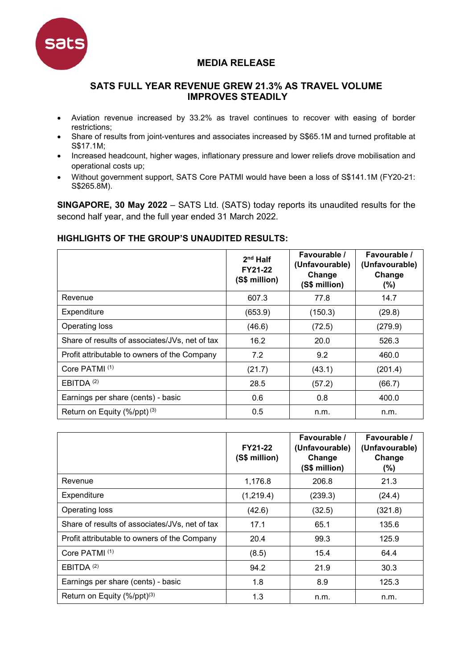

## **MEDIA RELEASE**

## **SATS FULL YEAR REVENUE GREW 21.3% AS TRAVEL VOLUME IMPROVES STEADILY**

- Aviation revenue increased by 33.2% as travel continues to recover with easing of border restrictions;
- Share of results from joint-ventures and associates increased by S\$65.1M and turned profitable at S\$17.1M;
- Increased headcount, higher wages, inflationary pressure and lower reliefs drove mobilisation and operational costs up;
- Without government support, SATS Core PATMI would have been a loss of S\$141.1M (FY20-21: S\$265.8M).

**SINGAPORE, 30 May 2022** – SATS Ltd. (SATS) today reports its unaudited results for the second half year, and the full year ended 31 March 2022.

## **HIGHLIGHTS OF THE GROUP'S UNAUDITED RESULTS:**

|                                                | $2nd$ Half<br>FY21-22<br>(S\$ million) | Favourable /<br>(Unfavourable)<br>Change<br>(S\$ million) | Favourable /<br>(Unfavourable)<br>Change<br>$(\% )$ |
|------------------------------------------------|----------------------------------------|-----------------------------------------------------------|-----------------------------------------------------|
| Revenue                                        | 607.3                                  | 77.8                                                      | 14.7                                                |
| Expenditure                                    | (653.9)                                | (150.3)                                                   | (29.8)                                              |
| Operating loss                                 | (46.6)                                 | (72.5)                                                    | (279.9)                                             |
| Share of results of associates/JVs, net of tax | 16.2                                   | 20.0                                                      | 526.3                                               |
| Profit attributable to owners of the Company   | 7.2                                    | 9.2                                                       | 460.0                                               |
| Core PATMI <sup>(1)</sup>                      | (21.7)                                 | (43.1)                                                    | (201.4)                                             |
| EBITDA <sup>(2)</sup>                          | 28.5                                   | (57.2)                                                    | (66.7)                                              |
| Earnings per share (cents) - basic             | 0.6                                    | 0.8                                                       | 400.0                                               |
| Return on Equity $(\frac{9}{6}$ /ppt $)^{(3)}$ | 0.5                                    | n.m.                                                      | n.m.                                                |

|                                                | FY21-22<br>(S\$ million) | Favourable /<br>(Unfavourable)<br>Change<br>(S\$ million) | Favourable /<br>(Unfavourable)<br>Change<br>(%) |
|------------------------------------------------|--------------------------|-----------------------------------------------------------|-------------------------------------------------|
| Revenue                                        | 1,176.8                  | 206.8                                                     | 21.3                                            |
| Expenditure                                    | (1,219.4)                | (239.3)                                                   | (24.4)                                          |
| Operating loss                                 | (42.6)                   | (32.5)                                                    | (321.8)                                         |
| Share of results of associates/JVs, net of tax | 17.1                     | 65.1                                                      | 135.6                                           |
| Profit attributable to owners of the Company   | 20.4                     | 99.3                                                      | 125.9                                           |
| Core PATMI <sup>(1)</sup>                      | (8.5)                    | 15.4                                                      | 64.4                                            |
| EBITDA $(2)$                                   | 94.2                     | 21.9                                                      | 30.3                                            |
| Earnings per share (cents) - basic             | 1.8                      | 8.9                                                       | 125.3                                           |
| Return on Equity (%/ppt) <sup>(3)</sup>        | 1.3                      | n.m.                                                      | n.m.                                            |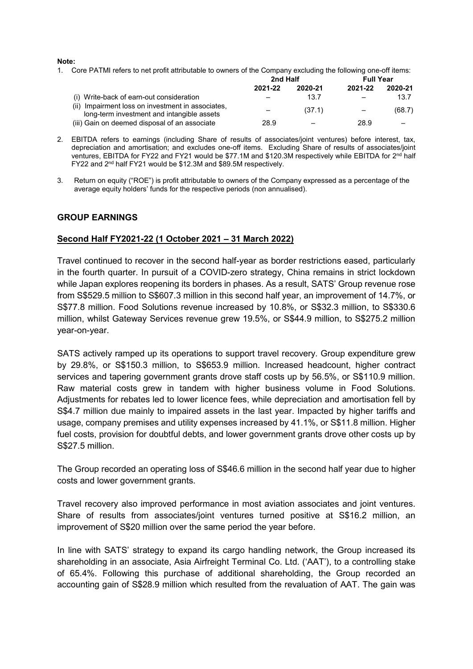#### **Note:**

1. Core PATMI refers to net profit attributable to owners of the Company excluding the following one-off items:

|                                                                                                 | 2nd Half |         | <b>Full Year</b> |         |
|-------------------------------------------------------------------------------------------------|----------|---------|------------------|---------|
|                                                                                                 | 2021-22  | 2020-21 | 2021-22          | 2020-21 |
| (i) Write-back of earn-out consideration                                                        |          | 13.7    |                  | 13.7    |
| (ii) Impairment loss on investment in associates,<br>long-term investment and intangible assets |          | (37.1)  |                  | (68.7)  |
| (iii) Gain on deemed disposal of an associate                                                   | 28.9     |         | 28.9             |         |

- 2. EBITDA refers to earnings (including Share of results of associates/joint ventures) before interest, tax, depreciation and amortisation; and excludes one-off items. Excluding Share of results of associates/joint ventures, EBITDA for FY22 and FY21 would be \$77.1M and \$120.3M respectively while EBITDA for 2<sup>nd</sup> half FY22 and 2nd half FY21 would be \$12.3M and \$89.5M respectively.
- 3. Return on equity ("ROE") is profit attributable to owners of the Company expressed as a percentage of the average equity holders' funds for the respective periods (non annualised).

#### **GROUP EARNINGS**

#### **Second Half FY2021-22 (1 October 2021 – 31 March 2022)**

Travel continued to recover in the second half-year as border restrictions eased, particularly in the fourth quarter. In pursuit of a COVID-zero strategy, China remains in strict lockdown while Japan explores reopening its borders in phases. As a result, SATS' Group revenue rose from S\$529.5 million to S\$607.3 million in this second half year, an improvement of 14.7%, or S\$77.8 million. Food Solutions revenue increased by 10.8%, or S\$32.3 million, to S\$330.6 million, whilst Gateway Services revenue grew 19.5%, or S\$44.9 million, to S\$275.2 million year-on-year.

SATS actively ramped up its operations to support travel recovery. Group expenditure grew by 29.8%, or S\$150.3 million, to S\$653.9 million. Increased headcount, higher contract services and tapering government grants drove staff costs up by 56.5%, or S\$110.9 million. Raw material costs grew in tandem with higher business volume in Food Solutions. Adjustments for rebates led to lower licence fees, while depreciation and amortisation fell by S\$4.7 million due mainly to impaired assets in the last year. Impacted by higher tariffs and usage, company premises and utility expenses increased by 41.1%, or S\$11.8 million. Higher fuel costs, provision for doubtful debts, and lower government grants drove other costs up by S\$27.5 million.

The Group recorded an operating loss of S\$46.6 million in the second half year due to higher costs and lower government grants.

Travel recovery also improved performance in most aviation associates and joint ventures. Share of results from associates/joint ventures turned positive at S\$16.2 million, an improvement of S\$20 million over the same period the year before.

In line with SATS' strategy to expand its cargo handling network, the Group increased its shareholding in an associate, Asia Airfreight Terminal Co. Ltd. ('AAT'), to a controlling stake of 65.4%. Following this purchase of additional shareholding, the Group recorded an accounting gain of S\$28.9 million which resulted from the revaluation of AAT. The gain was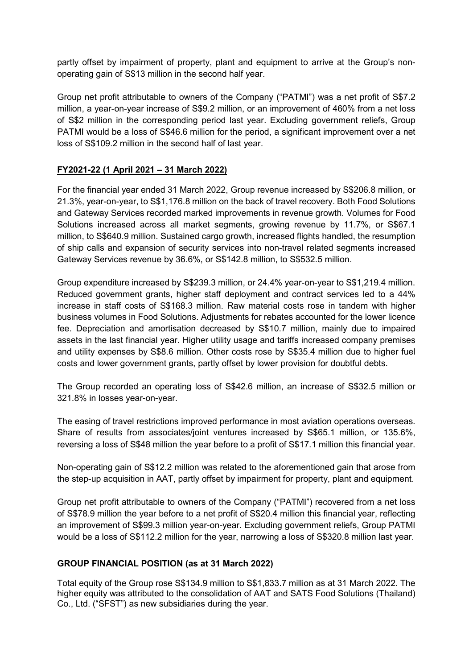partly offset by impairment of property, plant and equipment to arrive at the Group's nonoperating gain of S\$13 million in the second half year.

Group net profit attributable to owners of the Company ("PATMI") was a net profit of S\$7.2 million, a year-on-year increase of S\$9.2 million, or an improvement of 460% from a net loss of S\$2 million in the corresponding period last year. Excluding government reliefs, Group PATMI would be a loss of S\$46.6 million for the period, a significant improvement over a net loss of S\$109.2 million in the second half of last year.

## **FY2021-22 (1 April 2021 – 31 March 2022)**

For the financial year ended 31 March 2022, Group revenue increased by S\$206.8 million, or 21.3%, year-on-year, to S\$1,176.8 million on the back of travel recovery. Both Food Solutions and Gateway Services recorded marked improvements in revenue growth. Volumes for Food Solutions increased across all market segments, growing revenue by 11.7%, or S\$67.1 million, to S\$640.9 million. Sustained cargo growth, increased flights handled, the resumption of ship calls and expansion of security services into non-travel related segments increased Gateway Services revenue by 36.6%, or S\$142.8 million, to S\$532.5 million.

Group expenditure increased by S\$239.3 million, or 24.4% year-on-year to S\$1,219.4 million. Reduced government grants, higher staff deployment and contract services led to a 44% increase in staff costs of S\$168.3 million. Raw material costs rose in tandem with higher business volumes in Food Solutions. Adjustments for rebates accounted for the lower licence fee. Depreciation and amortisation decreased by S\$10.7 million, mainly due to impaired assets in the last financial year. Higher utility usage and tariffs increased company premises and utility expenses by S\$8.6 million. Other costs rose by S\$35.4 million due to higher fuel costs and lower government grants, partly offset by lower provision for doubtful debts.

The Group recorded an operating loss of S\$42.6 million, an increase of S\$32.5 million or 321.8% in losses year-on-year.

The easing of travel restrictions improved performance in most aviation operations overseas. Share of results from associates/joint ventures increased by S\$65.1 million, or 135.6%, reversing a loss of S\$48 million the year before to a profit of S\$17.1 million this financial year.

Non-operating gain of S\$12.2 million was related to the aforementioned gain that arose from the step-up acquisition in AAT, partly offset by impairment for property, plant and equipment.

Group net profit attributable to owners of the Company ("PATMI") recovered from a net loss of S\$78.9 million the year before to a net profit of S\$20.4 million this financial year, reflecting an improvement of S\$99.3 million year-on-year. Excluding government reliefs, Group PATMI would be a loss of S\$112.2 million for the year, narrowing a loss of S\$320.8 million last year.

## **GROUP FINANCIAL POSITION (as at 31 March 2022)**

Total equity of the Group rose S\$134.9 million to S\$1,833.7 million as at 31 March 2022. The higher equity was attributed to the consolidation of AAT and SATS Food Solutions (Thailand) Co., Ltd. ("SFST") as new subsidiaries during the year.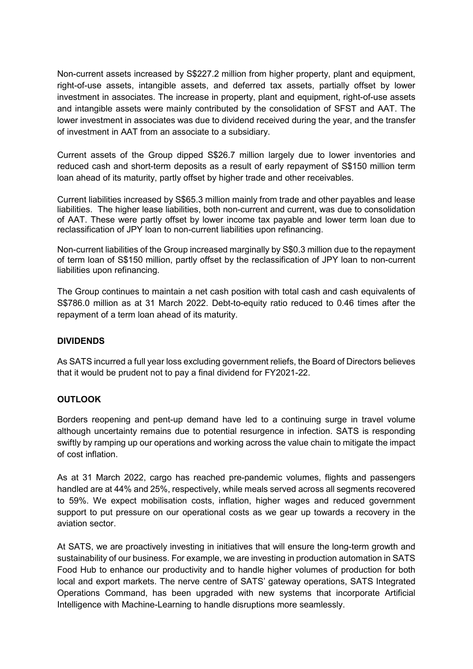Non-current assets increased by S\$227.2 million from higher property, plant and equipment, right-of-use assets, intangible assets, and deferred tax assets, partially offset by lower investment in associates. The increase in property, plant and equipment, right-of-use assets and intangible assets were mainly contributed by the consolidation of SFST and AAT. The lower investment in associates was due to dividend received during the year, and the transfer of investment in AAT from an associate to a subsidiary.

Current assets of the Group dipped S\$26.7 million largely due to lower inventories and reduced cash and short-term deposits as a result of early repayment of S\$150 million term loan ahead of its maturity, partly offset by higher trade and other receivables.

Current liabilities increased by S\$65.3 million mainly from trade and other payables and lease liabilities. The higher lease liabilities, both non-current and current, was due to consolidation of AAT. These were partly offset by lower income tax payable and lower term loan due to reclassification of JPY loan to non-current liabilities upon refinancing.

Non-current liabilities of the Group increased marginally by S\$0.3 million due to the repayment of term loan of S\$150 million, partly offset by the reclassification of JPY loan to non-current liabilities upon refinancing.

The Group continues to maintain a net cash position with total cash and cash equivalents of S\$786.0 million as at 31 March 2022. Debt-to-equity ratio reduced to 0.46 times after the repayment of a term loan ahead of its maturity.

## **DIVIDENDS**

As SATS incurred a full year loss excluding government reliefs, the Board of Directors believes that it would be prudent not to pay a final dividend for FY2021-22.

# **OUTLOOK**

Borders reopening and pent-up demand have led to a continuing surge in travel volume although uncertainty remains due to potential resurgence in infection. SATS is responding swiftly by ramping up our operations and working across the value chain to mitigate the impact of cost inflation.

As at 31 March 2022, cargo has reached pre-pandemic volumes, flights and passengers handled are at 44% and 25%, respectively, while meals served across all segments recovered to 59%. We expect mobilisation costs, inflation, higher wages and reduced government support to put pressure on our operational costs as we gear up towards a recovery in the aviation sector.

At SATS, we are proactively investing in initiatives that will ensure the long-term growth and sustainability of our business. For example, we are investing in production automation in SATS Food Hub to enhance our productivity and to handle higher volumes of production for both local and export markets. The nerve centre of SATS' gateway operations, SATS Integrated Operations Command, has been upgraded with new systems that incorporate Artificial Intelligence with Machine-Learning to handle disruptions more seamlessly.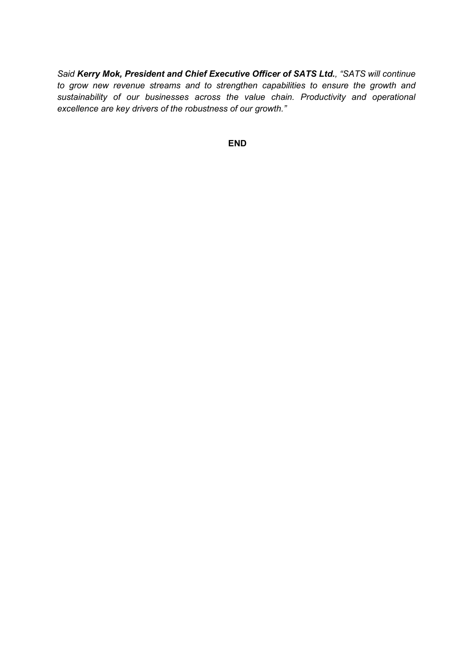*Said Kerry Mok, President and Chief Executive Officer of SATS Ltd., "SATS will continue to grow new revenue streams and to strengthen capabilities to ensure the growth and sustainability of our businesses across the value chain. Productivity and operational excellence are key drivers of the robustness of our growth."* 

**END**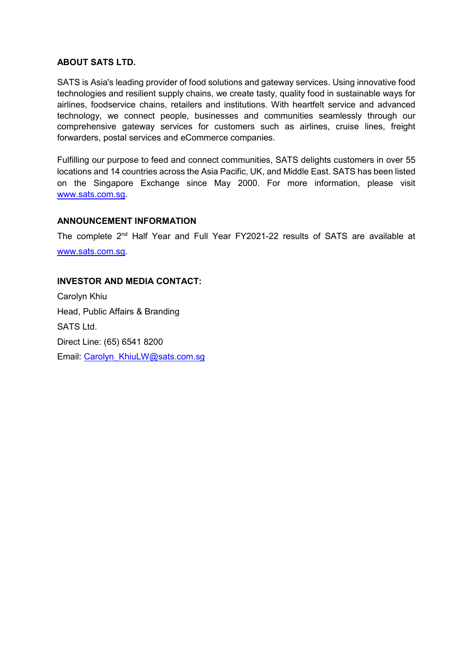## **ABOUT SATS LTD.**

SATS is Asia's leading provider of food solutions and gateway services. Using innovative food technologies and resilient supply chains, we create tasty, quality food in sustainable ways for airlines, foodservice chains, retailers and institutions. With heartfelt service and advanced technology, we connect people, businesses and communities seamlessly through our comprehensive gateway services for customers such as airlines, cruise lines, freight forwarders, postal services and eCommerce companies.

Fulfilling our purpose to feed and connect communities, SATS delights customers in over 55 locations and 14 countries across the Asia Pacific, UK, and Middle East. SATS has been listed on the Singapore Exchange since May 2000. For more information, please visit [www.sats.com.sg.](http://www.sats.com.sg/)

#### **ANNOUNCEMENT INFORMATION**

The complete 2nd Half Year and Full Year FY2021-22 results of SATS are available at [www.sats.com.sg.](http://www.sats.com.sg/)

## **INVESTOR AND MEDIA CONTACT:**

Carolyn Khiu Head, Public Affairs & Branding SATS Ltd. Direct Line: (65) 6541 8200 Email: Carolyn\_KhiuLW@sats.com.sg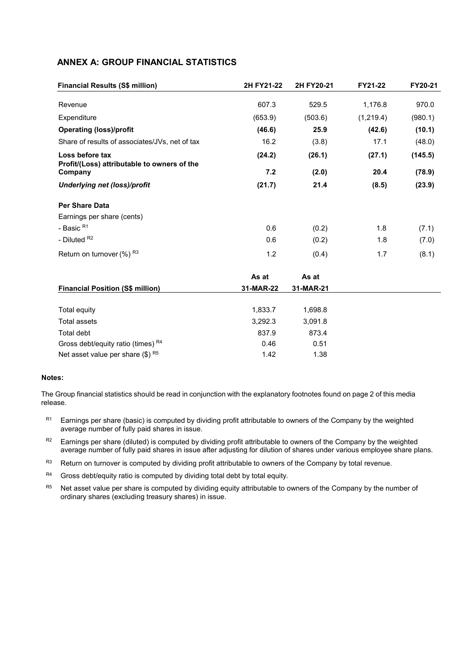## **ANNEX A: GROUP FINANCIAL STATISTICS**

| <b>Financial Results (S\$ million)</b>                         | 2H FY21-22<br>2H FY20-21 |           | FY21-22   | FY20-21 |  |
|----------------------------------------------------------------|--------------------------|-----------|-----------|---------|--|
| Revenue                                                        | 607.3                    | 529.5     | 1,176.8   | 970.0   |  |
| Expenditure                                                    | (653.9)                  | (503.6)   | (1,219.4) | (980.1) |  |
| <b>Operating (loss)/profit</b>                                 | (46.6)                   | 25.9      | (42.6)    | (10.1)  |  |
| Share of results of associates/JVs, net of tax                 | 16.2                     | (3.8)     | 17.1      | (48.0)  |  |
| Loss before tax<br>Profit/(Loss) attributable to owners of the | (24.2)                   | (26.1)    | (27.1)    | (145.5) |  |
| Company                                                        | 7.2                      | (2.0)     | 20.4      | (78.9)  |  |
| Underlying net (loss)/profit                                   | (21.7)                   | 21.4      | (8.5)     | (23.9)  |  |
| <b>Per Share Data</b>                                          |                          |           |           |         |  |
| Earnings per share (cents)                                     |                          |           |           |         |  |
| - Basic R <sub>1</sub>                                         | 0.6                      | (0.2)     | 1.8       | (7.1)   |  |
| - Diluted R <sub>2</sub>                                       | 0.6                      | (0.2)     | 1.8       | (7.0)   |  |
| Return on turnover $(\%)$ R <sub>3</sub>                       | 1.2                      | (0.4)     | 1.7       | (8.1)   |  |
|                                                                | As at                    | As at     |           |         |  |
| <b>Financial Position (S\$ million)</b>                        | 31-MAR-22                | 31-MAR-21 |           |         |  |
| Total equity                                                   | 1,833.7                  | 1,698.8   |           |         |  |
| <b>Total assets</b>                                            | 3,292.3                  | 3,091.8   |           |         |  |
| Total debt                                                     | 837.9                    | 873.4     |           |         |  |
| Gross debt/equity ratio (times) R4                             | 0.46                     | 0.51      |           |         |  |
| Net asset value per share $(\$)$ R <sub>5</sub>                | 1.42                     | 1.38      |           |         |  |

#### **Notes:**

The Group financial statistics should be read in conjunction with the explanatory footnotes found on page 2 of this media release.

- $R1$  Earnings per share (basic) is computed by dividing profit attributable to owners of the Company by the weighted average number of fully paid shares in issue.
- R2 Earnings per share (diluted) is computed by dividing profit attributable to owners of the Company by the weighted average number of fully paid shares in issue after adjusting for dilution of shares under various employee share plans.
- R3 Return on turnover is computed by dividing profit attributable to owners of the Company by total revenue.
- $R4$  Gross debt/equity ratio is computed by dividing total debt by total equity.
- R5 Net asset value per share is computed by dividing equity attributable to owners of the Company by the number of ordinary shares (excluding treasury shares) in issue.